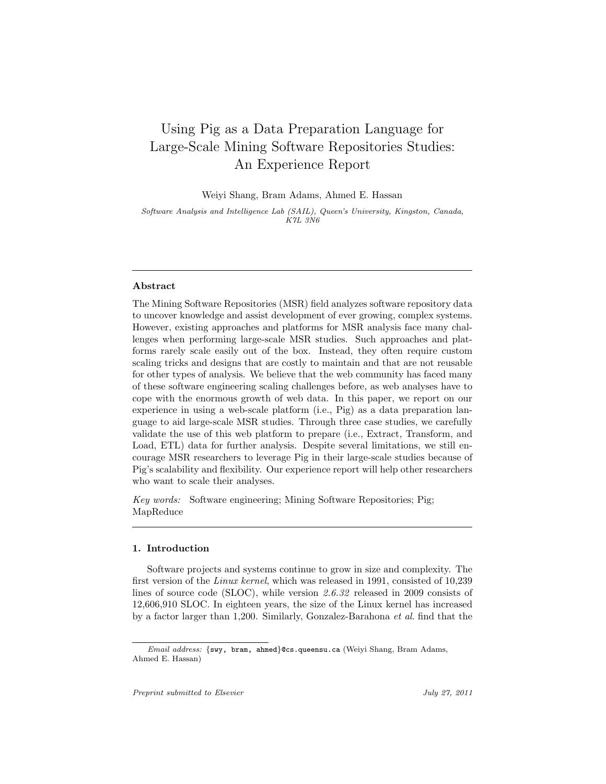# Using Pig as a Data Preparation Language for Large-Scale Mining Software Repositories Studies: An Experience Report

Weiyi Shang, Bram Adams, Ahmed E. Hassan

Software Analysis and Intelligence Lab (SAIL), Queen's University, Kingston, Canada, K7L 3N6

#### Abstract

The Mining Software Repositories (MSR) field analyzes software repository data to uncover knowledge and assist development of ever growing, complex systems. However, existing approaches and platforms for MSR analysis face many challenges when performing large-scale MSR studies. Such approaches and platforms rarely scale easily out of the box. Instead, they often require custom scaling tricks and designs that are costly to maintain and that are not reusable for other types of analysis. We believe that the web community has faced many of these software engineering scaling challenges before, as web analyses have to cope with the enormous growth of web data. In this paper, we report on our experience in using a web-scale platform (i.e., Pig) as a data preparation language to aid large-scale MSR studies. Through three case studies, we carefully validate the use of this web platform to prepare (i.e., Extract, Transform, and Load, ETL) data for further analysis. Despite several limitations, we still encourage MSR researchers to leverage Pig in their large-scale studies because of Pig's scalability and flexibility. Our experience report will help other researchers who want to scale their analyses.

Key words: Software engineering; Mining Software Repositories; Pig; MapReduce

## 1. Introduction

Software projects and systems continue to grow in size and complexity. The first version of the Linux kernel, which was released in 1991, consisted of 10,239 lines of source code (SLOC), while version 2.6.32 released in 2009 consists of 12,606,910 SLOC. In eighteen years, the size of the Linux kernel has increased by a factor larger than 1,200. Similarly, Gonzalez-Barahona et al. find that the

Email address: {swy, bram, ahmed}@cs.queensu.ca (Weiyi Shang, Bram Adams, Ahmed E. Hassan)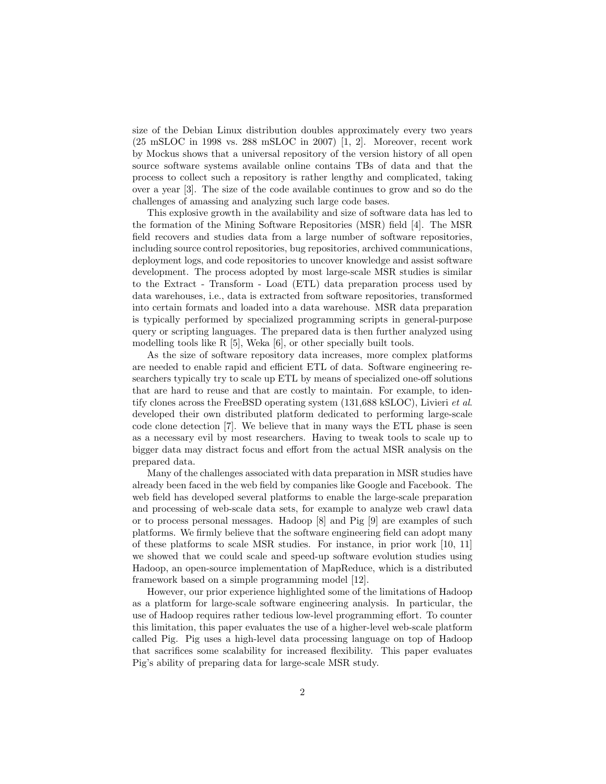size of the Debian Linux distribution doubles approximately every two years (25 mSLOC in 1998 vs. 288 mSLOC in 2007) [1, 2]. Moreover, recent work by Mockus shows that a universal repository of the version history of all open source software systems available online contains TBs of data and that the process to collect such a repository is rather lengthy and complicated, taking over a year [3]. The size of the code available continues to grow and so do the challenges of amassing and analyzing such large code bases.

This explosive growth in the availability and size of software data has led to the formation of the Mining Software Repositories (MSR) field [4]. The MSR field recovers and studies data from a large number of software repositories, including source control repositories, bug repositories, archived communications, deployment logs, and code repositories to uncover knowledge and assist software development. The process adopted by most large-scale MSR studies is similar to the Extract - Transform - Load (ETL) data preparation process used by data warehouses, i.e., data is extracted from software repositories, transformed into certain formats and loaded into a data warehouse. MSR data preparation is typically performed by specialized programming scripts in general-purpose query or scripting languages. The prepared data is then further analyzed using modelling tools like R [5], Weka [6], or other specially built tools.

As the size of software repository data increases, more complex platforms are needed to enable rapid and efficient ETL of data. Software engineering researchers typically try to scale up ETL by means of specialized one-off solutions that are hard to reuse and that are costly to maintain. For example, to identify clones across the FreeBSD operating system (131,688 kSLOC), Livieri et al. developed their own distributed platform dedicated to performing large-scale code clone detection [7]. We believe that in many ways the ETL phase is seen as a necessary evil by most researchers. Having to tweak tools to scale up to bigger data may distract focus and effort from the actual MSR analysis on the prepared data.

Many of the challenges associated with data preparation in MSR studies have already been faced in the web field by companies like Google and Facebook. The web field has developed several platforms to enable the large-scale preparation and processing of web-scale data sets, for example to analyze web crawl data or to process personal messages. Hadoop [8] and Pig [9] are examples of such platforms. We firmly believe that the software engineering field can adopt many of these platforms to scale MSR studies. For instance, in prior work [10, 11] we showed that we could scale and speed-up software evolution studies using Hadoop, an open-source implementation of MapReduce, which is a distributed framework based on a simple programming model [12].

However, our prior experience highlighted some of the limitations of Hadoop as a platform for large-scale software engineering analysis. In particular, the use of Hadoop requires rather tedious low-level programming effort. To counter this limitation, this paper evaluates the use of a higher-level web-scale platform called Pig. Pig uses a high-level data processing language on top of Hadoop that sacrifices some scalability for increased flexibility. This paper evaluates Pig's ability of preparing data for large-scale MSR study.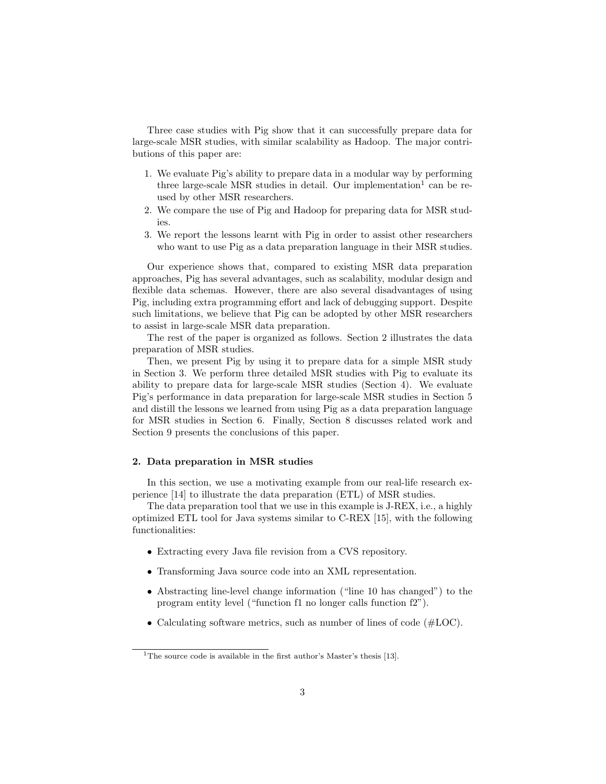Three case studies with Pig show that it can successfully prepare data for large-scale MSR studies, with similar scalability as Hadoop. The major contributions of this paper are:

- 1. We evaluate Pig's ability to prepare data in a modular way by performing three large-scale MSR studies in detail. Our implementation<sup>1</sup> can be reused by other MSR researchers.
- 2. We compare the use of Pig and Hadoop for preparing data for MSR studies.
- 3. We report the lessons learnt with Pig in order to assist other researchers who want to use Pig as a data preparation language in their MSR studies.

Our experience shows that, compared to existing MSR data preparation approaches, Pig has several advantages, such as scalability, modular design and flexible data schemas. However, there are also several disadvantages of using Pig, including extra programming effort and lack of debugging support. Despite such limitations, we believe that Pig can be adopted by other MSR researchers to assist in large-scale MSR data preparation.

The rest of the paper is organized as follows. Section 2 illustrates the data preparation of MSR studies.

Then, we present Pig by using it to prepare data for a simple MSR study in Section 3. We perform three detailed MSR studies with Pig to evaluate its ability to prepare data for large-scale MSR studies (Section 4). We evaluate Pig's performance in data preparation for large-scale MSR studies in Section 5 and distill the lessons we learned from using Pig as a data preparation language for MSR studies in Section 6. Finally, Section 8 discusses related work and Section 9 presents the conclusions of this paper.

#### 2. Data preparation in MSR studies

In this section, we use a motivating example from our real-life research experience [14] to illustrate the data preparation (ETL) of MSR studies.

The data preparation tool that we use in this example is J-REX, i.e., a highly optimized ETL tool for Java systems similar to C-REX [15], with the following functionalities:

- Extracting every Java file revision from a CVS repository.
- Transforming Java source code into an XML representation.
- Abstracting line-level change information ("line 10 has changed") to the program entity level ("function f1 no longer calls function f2").
- Calculating software metrics, such as number of lines of code (#LOC).

<sup>&</sup>lt;sup>1</sup>The source code is available in the first author's Master's thesis [13].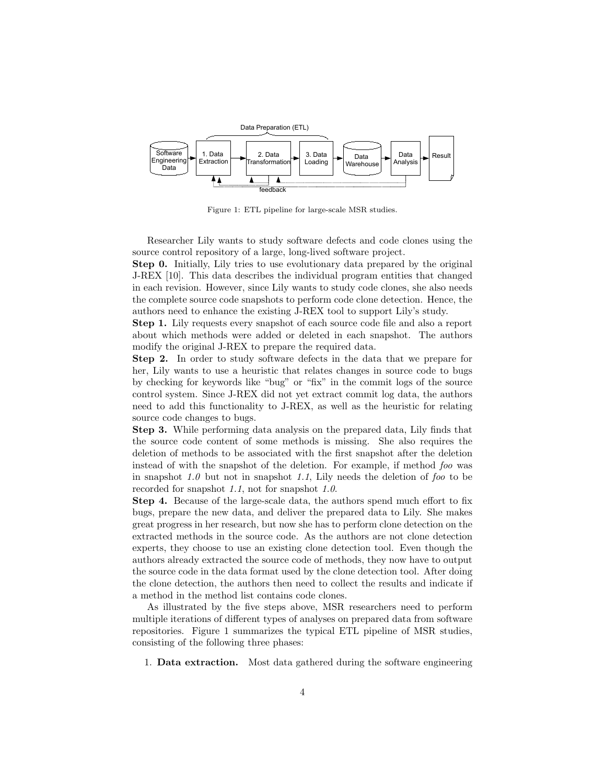

Figure 1: ETL pipeline for large-scale MSR studies.

Researcher Lily wants to study software defects and code clones using the source control repository of a large, long-lived software project.

Step 0. Initially, Lily tries to use evolutionary data prepared by the original J-REX [10]. This data describes the individual program entities that changed in each revision. However, since Lily wants to study code clones, she also needs the complete source code snapshots to perform code clone detection. Hence, the authors need to enhance the existing J-REX tool to support Lily's study.

Step 1. Lily requests every snapshot of each source code file and also a report about which methods were added or deleted in each snapshot. The authors modify the original J-REX to prepare the required data.

Step 2. In order to study software defects in the data that we prepare for her, Lily wants to use a heuristic that relates changes in source code to bugs by checking for keywords like "bug" or "fix" in the commit logs of the source control system. Since J-REX did not yet extract commit log data, the authors need to add this functionality to J-REX, as well as the heuristic for relating source code changes to bugs.

Step 3. While performing data analysis on the prepared data, Lily finds that the source code content of some methods is missing. She also requires the deletion of methods to be associated with the first snapshot after the deletion instead of with the snapshot of the deletion. For example, if method foo was in snapshot 1.0 but not in snapshot 1.1, Lily needs the deletion of foo to be recorded for snapshot 1.1, not for snapshot 1.0.

Step 4. Because of the large-scale data, the authors spend much effort to fix bugs, prepare the new data, and deliver the prepared data to Lily. She makes great progress in her research, but now she has to perform clone detection on the extracted methods in the source code. As the authors are not clone detection experts, they choose to use an existing clone detection tool. Even though the authors already extracted the source code of methods, they now have to output the source code in the data format used by the clone detection tool. After doing the clone detection, the authors then need to collect the results and indicate if a method in the method list contains code clones.

As illustrated by the five steps above, MSR researchers need to perform multiple iterations of different types of analyses on prepared data from software repositories. Figure 1 summarizes the typical ETL pipeline of MSR studies, consisting of the following three phases:

1. Data extraction. Most data gathered during the software engineering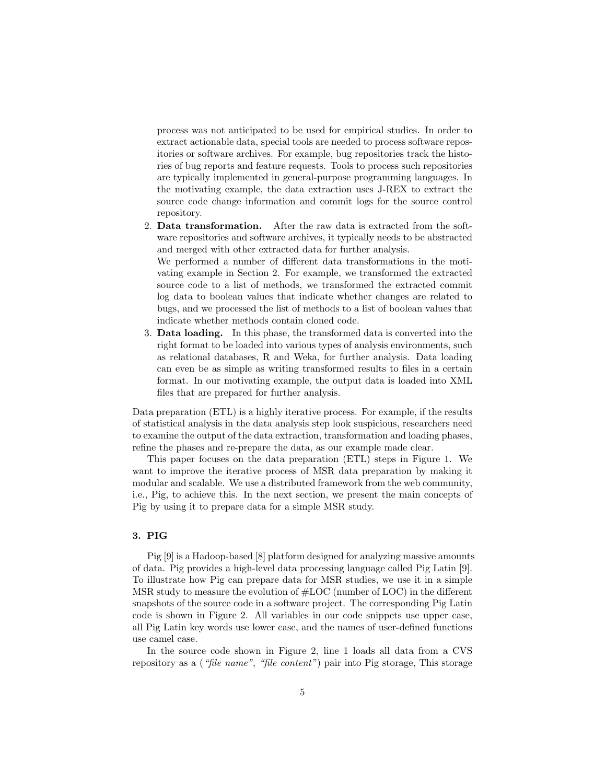process was not anticipated to be used for empirical studies. In order to extract actionable data, special tools are needed to process software repositories or software archives. For example, bug repositories track the histories of bug reports and feature requests. Tools to process such repositories are typically implemented in general-purpose programming languages. In the motivating example, the data extraction uses J-REX to extract the source code change information and commit logs for the source control repository.

- 2. Data transformation. After the raw data is extracted from the software repositories and software archives, it typically needs to be abstracted and merged with other extracted data for further analysis. We performed a number of different data transformations in the motivating example in Section 2. For example, we transformed the extracted source code to a list of methods, we transformed the extracted commit log data to boolean values that indicate whether changes are related to bugs, and we processed the list of methods to a list of boolean values that indicate whether methods contain cloned code.
- 3. Data loading. In this phase, the transformed data is converted into the right format to be loaded into various types of analysis environments, such as relational databases, R and Weka, for further analysis. Data loading can even be as simple as writing transformed results to files in a certain format. In our motivating example, the output data is loaded into XML files that are prepared for further analysis.

Data preparation (ETL) is a highly iterative process. For example, if the results of statistical analysis in the data analysis step look suspicious, researchers need to examine the output of the data extraction, transformation and loading phases, refine the phases and re-prepare the data, as our example made clear.

This paper focuses on the data preparation (ETL) steps in Figure 1. We want to improve the iterative process of MSR data preparation by making it modular and scalable. We use a distributed framework from the web community, i.e., Pig, to achieve this. In the next section, we present the main concepts of Pig by using it to prepare data for a simple MSR study.

#### 3. PIG

Pig [9] is a Hadoop-based [8] platform designed for analyzing massive amounts of data. Pig provides a high-level data processing language called Pig Latin [9]. To illustrate how Pig can prepare data for MSR studies, we use it in a simple MSR study to measure the evolution of #LOC (number of LOC) in the different snapshots of the source code in a software project. The corresponding Pig Latin code is shown in Figure 2. All variables in our code snippets use upper case, all Pig Latin key words use lower case, and the names of user-defined functions use camel case.

In the source code shown in Figure 2, line 1 loads all data from a CVS repository as a ("file name", "file content") pair into Pig storage, This storage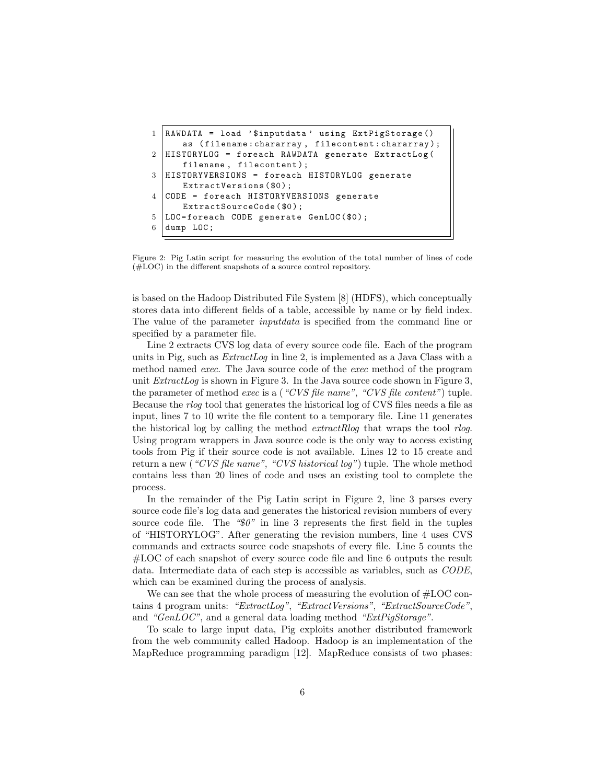```
1 RAWDATA = load '$inputdata' using ExtPigStorage()
     as ( filename : chararray , filecontent : chararray ) ;
2 HISTORYLOG = foreach RAWDATA generate ExtractLog (
     filename, filecontent);
3 HISTORYVERSIONS = foreach HISTORYLOG generate
     ExtractVersions ($0);
4 CODE = foreach HISTORYVERSIONS generate
     ExtractSourceCode ($0);
5 LOC=foreach CODE generate GenLOC($0);
6 dump LOC;
```
Figure 2: Pig Latin script for measuring the evolution of the total number of lines of code  $(\text{\#LOC})$  in the different snapshots of a source control repository.

index. The value of the parameter input data is specified for the parameter in  $\alpha$ is based on the Hadoop Distributed File System  $[8]$  (HDFS), which conceptually stores data into different fields of a table, accessible by name or by field index. The value of the parameter *inputdata* is specified from the command line or specified by a parameter file.

Line 2 extracts CVS log data of every source code file. Each of the program units in Pig, such as  $ExtractLog$  in line 2, is implemented as a Java Class with a  $B = \frac{1}{3}$ , such as  $\frac{1}{2}$  files  $\frac{1}{3}$  files  $\frac{1}{3}$  files  $\frac{1}{3}$  for  $\frac{1}{3}$  files  $\frac{1}{3}$  files  $\frac{1}{3}$  files  $\frac{1}{3}$  files  $\frac{1}{3}$  files  $\frac{1}{3}$  files  $\frac{1}{3}$  files  $\frac{1}{3}$  files  $\frac{1}{3}$   $\overline{E}$  to  $\overline{E}$  to  $\overline{E}$  to  $\overline{E}$  and  $\overline{E}$  and  $\overline{E}$  and  $\overline{E}$  and  $\overline{E}$  and  $\overline{E}$  and  $\overline{E}$  and  $\overline{E}$  and  $\overline{E}$  and  $\overline{E}$  and  $\overline{E}$  and  $\overline{E}$  and  $\overline{E}$  and  $\overline{E}$  and  $\over$ unit  $ExtractLog$  is shown in Figure 3. In the Java source code shown in Figure 3, the parameter of method *exec* is a ("CVS file name", "CVS file content") tuple. Because the *rlog* tool that generates the historical log of CVS files needs a file as input, lines 7 to 10 write the file content to a temporary file. Line 11 generates the historical log by calling the method  $extractRlog$  that wraps the tool rlog. Using program wrappers in Java source code is the only way to access existing tools from Pig if their source code is not available. Lines 12 to 15 create and return a new ("CVS file name", "CVS historical log") tuple. The whole method  $\frac{1}{2}$   $\frac{1}{2}$   $\frac{1}{2}$   $\frac{1}{2}$   $\frac{1}{2}$   $\frac{1}{2}$  uses CVS meson numbers, line 4 uses CVS meson numbers, line 4 uses CVS meson numbers, line 4 uses CVS meson numbers. contains less than 20 lines of code and uses an existing tool to complete the  $\mathrm{ess.}$ process.

In the remainder of the Pig Latin script in Figure 2, line 3 parses every source code file's log data and generates the historical revision numbers of every source code file. The " $$0"$  in line 3 represents the first field in the tuples of "HISTORYLOG". After generating the revision numbers, line 4 uses CVS commands and extracts source code snapshots of every file. Line 5 counts the 4.3. Discussion #LOC of each snapshot of every source code file and line 6 outputs the result morniculate data of each step is accessible as variances, sach as  $\circ$  which can be examined during the process of analysis. the Calculation computing model of  $\mu$  and  $\mu$  for  $\alpha$  for  $\alpha$  for  $\alpha$  for  $\alpha$  for  $\alpha$  for  $\alpha$  for  $\alpha$  for  $\alpha$  for  $\alpha$  for  $\alpha$  for  $\alpha$  for  $\alpha$  for  $\alpha$  for  $\alpha$  for  $\alpha$  for  $\alpha$  for  $\alpha$  for  $\alpha$  for  $\alpha$  f data. Intermediate data of each step is accessible as variables, such as CODE,

We can see that the whole process of measuring the evolution of  $\#LOC$  contains 4 program units: "ExtractLog", "ExtractVersions", "ExtractSourceCode", and "GenLOC", and a general data loading method "ExtPigStorage".

To scale to large input data, Pig exploits another distributed framework from the web community called Hadoop. Hadoop is an implementation of the MapReduce programming paradigm [12]. MapReduce consists of two phases: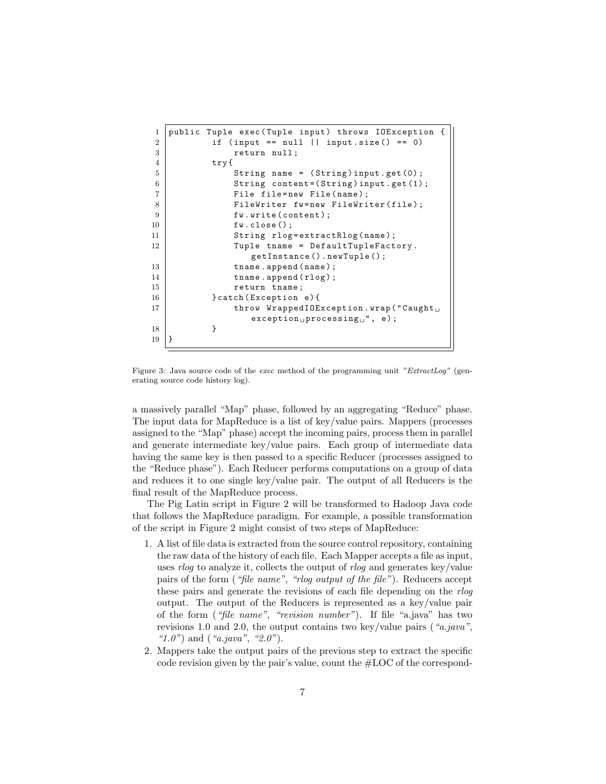```
1 public Tuple exec (Tuple input) throws IOException {
2 if (input == null || input.size() == 0)
3 return null;
4 try {
5 String name = (String) input . get (0);
6 String content=(String) input.get(1);
7 | File file=new File (name);
8 FileWriter fw=new FileWriter (file);
9 fw.write (content);
10 fw.close();
11 String rlog=extractRlog(name);
12 Tuple tname = DefaultTupleFactory.
               getInstance () . newTuple () ;
13 tname . append (name);
14 tname.append (rlog);
15 return tname;
16 } boatch (Exception e) {
17 throw WrappedIOException.wrap ("Caught<sub>u</sub>
               exception<sub>u</sub> processing<sub>u</sub>", e);
18 }
19 \mid
```
Figure 3: Java source code of the exec method of the programming unit "ExtractLog" (generating source code history log).

a massively parallel "Map" phase, followed by an aggregating "Reduce" phase. The input data for MapReduce is a list of key/value pairs. Mappers (processes assigned to the "Map" phase) accept the incoming pairs, process them in parallel and generate intermediate key/value pairs. Each group of intermediate data having the same key is then passed to a specific Reducer (processes assigned to the "Reduce phase"). Each Reducer performs computations on a group of data and reduces it to one single key/value pair. The output of all Reducers is the final result of the MapReduce process.

The Pig Latin script in Figure 2 will be transformed to Hadoop Java code that follows the MapReduce paradigm. For example, a possible transformation of the script in Figure 2 might consist of two steps of MapReduce:

- 1. A list of file data is extracted from the source control repository, containing the raw data of the history of each file. Each Mapper accepts a file as input, uses rlog to analyze it, collects the output of rlog and generates key/value pairs of the form ("file name", "rlog output of the file"). Reducers accept these pairs and generate the revisions of each file depending on the rlog output. The output of the Reducers is represented as a key/value pair of the form ("file name", "revision number"). If file "a.java" has two revisions 1.0 and 2.0, the output contains two key/value pairs ("a.java", " $1.0$ ") and (" $a.java$ ", " $2.0$ ").
- 2. Mappers take the output pairs of the previous step to extract the specific code revision given by the pair's value, count the  $\#LOC$  of the correspond-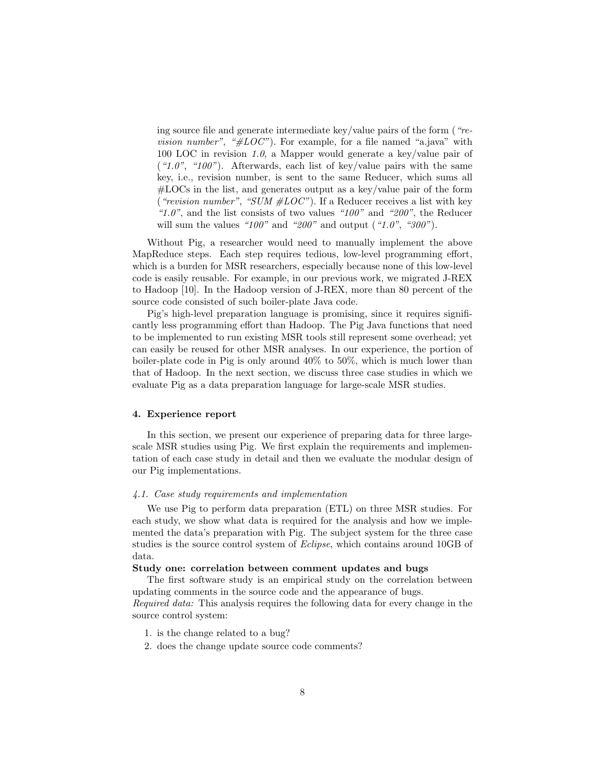ing source file and generate intermediate key/value pairs of the form ("re*vision number"*, " $#LOC$ "). For example, for a file named "a.java" with 100 LOC in revision 1.0, a Mapper would generate a key/value pair of  $(*1.0", *100")$ . Afterwards, each list of key/value pairs with the same key, i.e., revision number, is sent to the same Reducer, which sums all #LOCs in the list, and generates output as a key/value pair of the form ("revision number", "SUM  $#LOC$ "). If a Reducer receives a list with key " $1.0$ ", and the list consists of two values " $100$ " and " $200$ ", the Reducer will sum the values "100" and "200" and output  $('1.0", '300").$ 

Without Pig, a researcher would need to manually implement the above MapReduce steps. Each step requires tedious, low-level programming effort, which is a burden for MSR researchers, especially because none of this low-level code is easily reusable. For example, in our previous work, we migrated J-REX to Hadoop [10]. In the Hadoop version of J-REX, more than 80 percent of the source code consisted of such boiler-plate Java code.

Pig's high-level preparation language is promising, since it requires significantly less programming effort than Hadoop. The Pig Java functions that need to be implemented to run existing MSR tools still represent some overhead; yet can easily be reused for other MSR analyses. In our experience, the portion of boiler-plate code in Pig is only around 40% to 50%, which is much lower than that of Hadoop. In the next section, we discuss three case studies in which we evaluate Pig as a data preparation language for large-scale MSR studies.

#### 4. Experience report

In this section, we present our experience of preparing data for three largescale MSR studies using Pig. We first explain the requirements and implementation of each case study in detail and then we evaluate the modular design of our Pig implementations.

## 4.1. Case study requirements and implementation

We use Pig to perform data preparation (ETL) on three MSR studies. For each study, we show what data is required for the analysis and how we implemented the data's preparation with Pig. The subject system for the three case studies is the source control system of Eclipse, which contains around 10GB of data.

## Study one: correlation between comment updates and bugs

The first software study is an empirical study on the correlation between updating comments in the source code and the appearance of bugs.

Required data: This analysis requires the following data for every change in the source control system:

- 1. is the change related to a bug?
- 2. does the change update source code comments?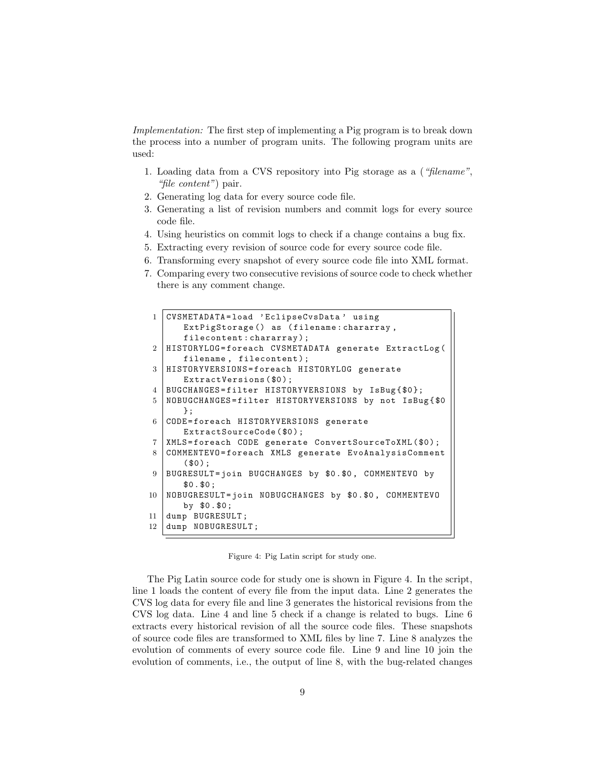Implementation: The first step of implementing a Pig program is to break down the process into a number of program units. The following program units are used:

- 1. Loading data from a CVS repository into Pig storage as a ("filename", "file content") pair.
- 2. Generating log data for every source code file.
- 2. Generating  $\log$  data for every source code inc.<br>3. Generating a list of revision numbers and commit logs for every source code file. Generating a list of revision numbers and commit logs for every sc  $\rm code$  lile.
- 4. Using heuristics on commit logs to check if a change contains a bug fix.
- 5. Extracting every revision of source code for every source code file.
- 6. Transforming every snapshot of every source code file into XML format. mansforming every snapshot of every source code me mito AML form
- 7. Comparing every two consecutive revisions of source code to check whether there is any comment change.

```
1 CVSMETADATA = load ' EclipseCvsData ' using
      ExtPigStorage () as ( filename : chararray ,
      filecontent: chararray);
2 HISTORYLOG=foreach CVSMETADATA generate ExtractLog (
      filename, filecontent);
3 HISTORYVERSIONS = foreach HISTORYLOG generate
      ExtractVersions ($0);
4 BUGCHANGES=filter HISTORYVERSIONS by IsBug{$0};
5 NOBUGCHANGES = filter HISTORYVERSIONS by not IsBug { $0
      };
6 CODE=foreach HISTORYVERSIONS generate
      ExtractSourceCode ($0);
7 XMLS = foreach CODE generate ConvertSourceToXML ( $0 ) ;
8 COMMENTEVO=foreach XMLS generate EvoAnalysisComment
      ( $0);9 BUGRESULT=join BUGCHANGES by $0.$0, COMMENTEVO by
      $0 . $0 ;
10 NOBUGRESULT=join NOBUGCHANGES by $0.$0, COMMENTEVO
      by $0 . $0 ;
11 dump BUGRESULT;
12 dump NOBUGRESULT;
```
Figure 4: Pig Latin script for study one.

The Pig Latin source code for study one is shown in Figure 4. In the script, line 1 loads the content of every file from the input data. Line 2 generates the CVS log data for every file and line 3 generates the historical revisions from the CVS log data. Line 4 and line 5 check if a change is related to bugs. Line 6 extracts every historical revision of all the source code files. These snapshots of source code files are transformed to XML files by line 7. Line 8 analyzes the evolution of comments of every source code file. Line 9 and line 10 join the evolution of comments, i.e., the output of line 8, with the bug-related changes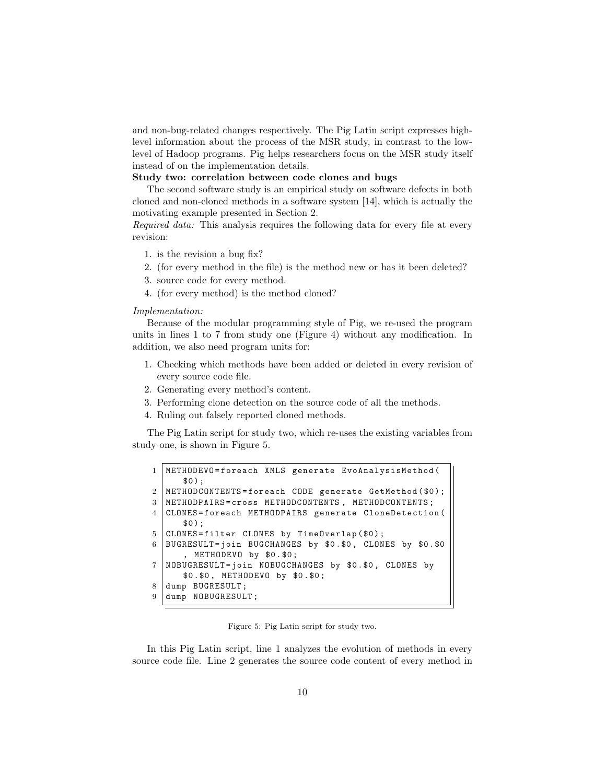and non-bug-related changes respectively. The Pig Latin script expresses highlevel information about the process of the MSR study, in contrast to the lowlevel of Hadoop programs. Pig helps researchers focus on the MSR study itself instead of on the implementation details.

#### Study two: correlation between code clones and bugs

The second software study is an empirical study on software defects in both cloned and non-cloned methods in a software system [14], which is actually the motivating example presented in Section 2.

Required data: This analysis requires the following data for every file at every revision:

- 1. is the revision a bug fix?
- 2. (for every method in the file) is the method new or has it been deleted?
- 3. source code for every method.
- 4. (for every method) is the method cloned?

#### Implementation:

Because of the modular programming style of Pig, we re-used the program units in lines 1 to 7 from study one (Figure 4) without any modification. In addition, we also need program units for:

- 1. Checking which methods have been added or deleted in every revision of every source code file.
- 2. Generating every method's content.
- 3. Performing clone detection on the source code of all the methods.
- 4. Ruling out falsely reported cloned methods.

The Pig Latin script for study two, which re-uses the existing variables from study one, is shown in Figure 5.

```
1 METHODEVO = foreach XMLS generate EvoAnalysisMethod (
      $0 ) ;
2 METHODCONTENTS=foreach CODE generate GetMethod ($0);
3 | METHODPAIRS=cross METHODCONTENTS, METHODCONTENTS;
4 CLONES = foreach METHODPAIRS generate CloneDetection (
      $0):
5 CLONES=filter CLONES by TimeOverlap ($0);
6 BUGRESULT = join BUGCHANGES by $0 . $0 , CLONES by $0 . $0
      , METHODEVO by $0 . $0 ;
7 NOBUGRESULT = join NOBUGCHANGES by $0 . $0 , CLONES by
      $0 . $0 , METHODEVO by $0 . $0 ;
8 dump BUGRESULT;
9 dump NOBUGRESULT;
```
Figure 5: Pig Latin script for study two.

In this Pig Latin script, line 1 analyzes the evolution of methods in every source code file. Line 2 generates the source code content of every method in troduction Modification (FI) changes, i.e., changes that introduce new features,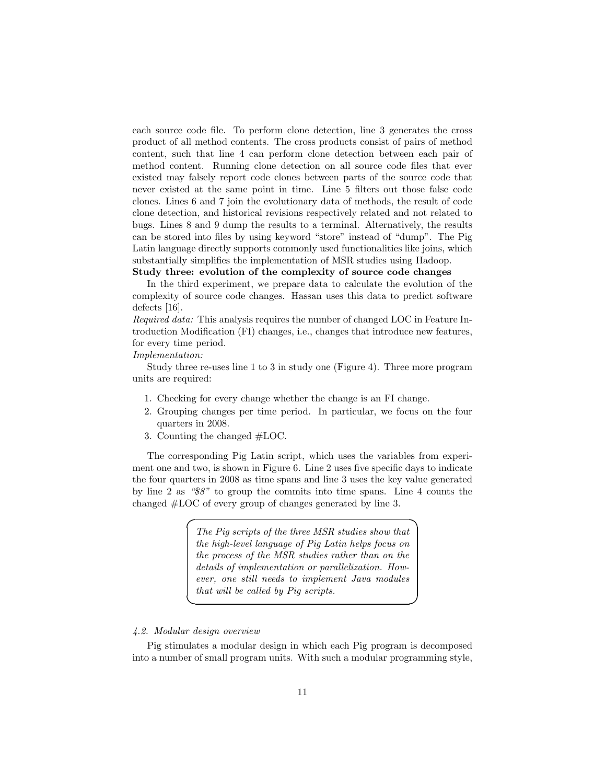each source code file. To perform clone detection, line 3 generates the cross product of all method contents. The cross products consist of pairs of method content, such that line 4 can perform clone detection between each pair of method content. Running clone detection on all source code files that ever existed may falsely report code clones between parts of the source code that never existed at the same point in time. Line 5 filters out those false code clones. Lines 6 and 7 join the evolutionary data of methods, the result of code clone detection, and historical revisions respectively related and not related to bugs. Lines 8 and 9 dump the results to a terminal. Alternatively, the results can be stored into files by using keyword "store" instead of "dump". The Pig Latin language directly supports commonly used functionalities like joins, which substantially simplifies the implementation of MSR studies using Hadoop.

## Study three: evolution of the complexity of source code changes

In the third experiment, we prepare data to calculate the evolution of the complexity of source code changes. Hassan uses this data to predict software defects [16].

Required data: This analysis requires the number of changed LOC in Feature Introduction Modification (FI) changes, i.e., changes that introduce new features, for every time period.

Implementation:

Study three re-uses line 1 to 3 in study one (Figure 4). Three more program units are required:

- 1. Checking for every change whether the change is an FI change.
- 2. Grouping changes per time period. In particular, we focus on the four quarters in 2008.
- 3. Counting the changed #LOC.

The corresponding Pig Latin script, which uses the variables from experiment one and two, is shown in Figure 6. Line 2 uses five specific days to indicate the four quarters in 2008 as time spans and line 3 uses the key value generated by line 2 as "\$8" to group the commits into time spans. Line 4 counts the changed #LOC of every group of changes generated by line 3.

> The Pig scripts of the three MSR studies show that the high-level language of Pig Latin helps focus on the process of the MSR studies rather than on the details of implementation or parallelization. However, one still needs to implement Java modules that will be called by Pig scripts.

## 4.2. Modular design overview

✍

 $\overline{$ 

Pig stimulates a modular design in which each Pig program is decomposed into a number of small program units. With such a modular programming style,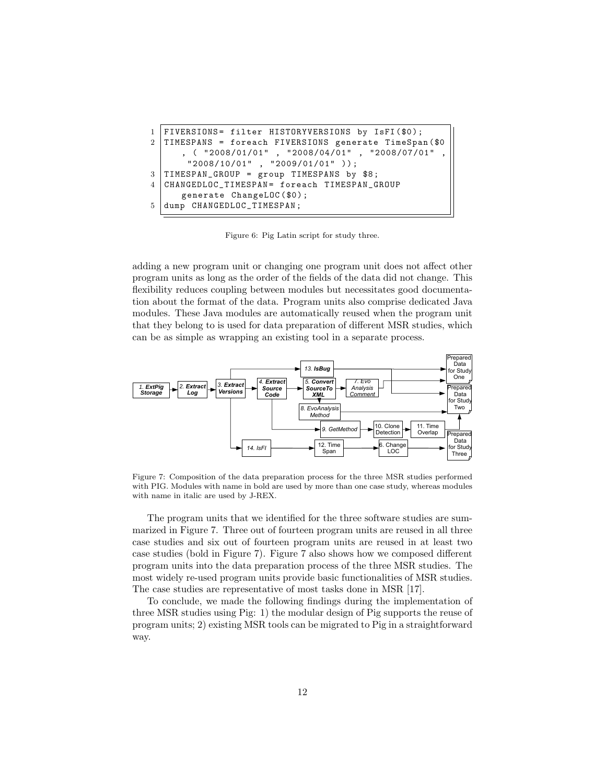```
1 FIVERSIONS= filter HISTORYVERSIONS by IsFI ($0);
2 TIMESPANS = foreach FIVERSIONS generate TimeSpan ($0 \parallel, "2008/04/01"T_{2008/10/01", "2009/01/01" ));
3 TIMESPAN_GROUP = group TIMESPANS by $8;
4 CHANGEDLOC_TIMESPAN= foreach TIMESPAN_GROUP
       generate ChangeLOC ( $0 ) ;
5 dump CHANGEDLOC_TIMESPAN;
                    B. Experience Report
                                                 , "2008/07/01"
                                                        7 EvoAnalysisComment Comment Comment Comment Comment Comment Comment Comment Comment Comment Comment Comment Co
                                                        9 GetMethod Generating method
                                                        10 CloneDetection Detection Detection Detection Detection Detection Detection Detection Detection Detection De
                                                        11 Time Overlap Ruling out false clones.
        ( "2008/01/01"
```
preparation in the three three software studies. Figure 6: Pig Latin script for study three. 14

12 TimeSpan Checking is a change in the change is a change in the change is a change in the change is a change

adding a new program unit or changing one program unit does not affect other program units as long as the order of the fields of the data did not change. This flexibility reduces coupling between modules but necessitates good documentation about the format of the data. Program units also comprise dedicated Java modules. These Java modules are automatically reused when the program unit that they belong to is used for data preparation of different MSR studies, which can be as simple as wrapping an existing tool in a separate process.



Figure 7: Composition of the data preparation process for the three MSR studies performed with PIG. Modules with name in bold are used by more than one case study, whereas modules with name in italic are used by J-REX.

The program units that we identified for the three software studies are summarized in Figure 7. Three out of fourteen program units are reused in all three case studies and six out of fourteen program units are reused in at least two case studies (bold in Figure 7). Figure 7 also shows how we composed different program units into the data preparation process of the three MSR studies. The most widely re-used program units provide basic functionalities of MSR studies. The case studies are representative of most tasks done in MSR [17].

To conclude, we made the following findings during the implementation of three MSR studies using Pig: 1) the modular design of Pig supports the reuse of program units; 2) existing MSR tools can be migrated to Pig in a straightforward way.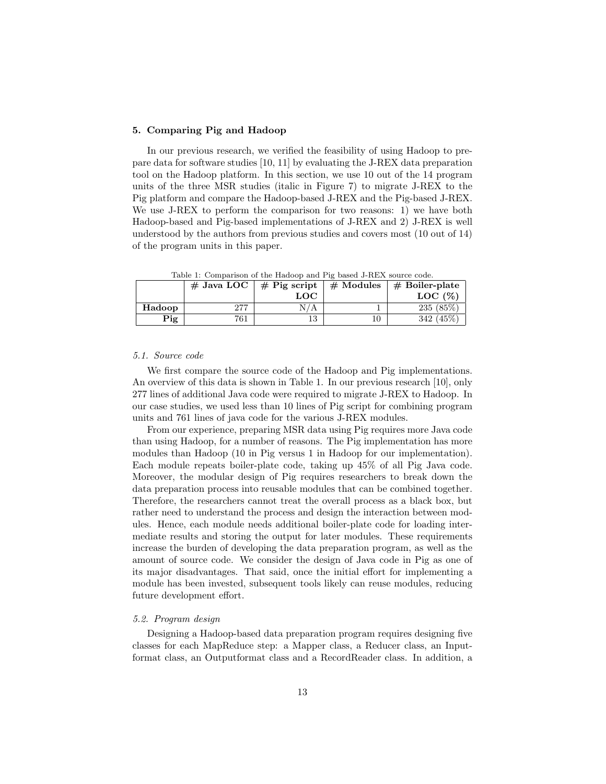#### 5. Comparing Pig and Hadoop

In our previous research, we verified the feasibility of using Hadoop to prepare data for software studies [10, 11] by evaluating the J-REX data preparation tool on the Hadoop platform. In this section, we use 10 out of the 14 program units of the three MSR studies (italic in Figure 7) to migrate J-REX to the Pig platform and compare the Hadoop-based J-REX and the Pig-based J-REX. We use J-REX to perform the comparison for two reasons: 1) we have both Hadoop-based and Pig-based implementations of J-REX and 2) J-REX is well understood by the authors from previous studies and covers most (10 out of 14) of the program units in this paper.

# Java LOC  $\#$  Pig script  $#$  Modules  $#$  Boiler-plate  $\text{LOC}$   $\vert$   $\text{LOC}$   $\langle \% \rangle$ **Hadoop** 277 N/A 1 235 (85%) **Pig** 761  $13$  13  $10$  342 (45%)

Table 1: Comparison of the Hadoop and Pig based J-REX source code.

#### 5.1. Source code

We first compare the source code of the Hadoop and Pig implementations. An overview of this data is shown in Table 1. In our previous research [10], only 277 lines of additional Java code were required to migrate J-REX to Hadoop. In our case studies, we used less than 10 lines of Pig script for combining program units and 761 lines of java code for the various J-REX modules.

From our experience, preparing MSR data using Pig requires more Java code than using Hadoop, for a number of reasons. The Pig implementation has more modules than Hadoop (10 in Pig versus 1 in Hadoop for our implementation). Each module repeats boiler-plate code, taking up 45% of all Pig Java code. Moreover, the modular design of Pig requires researchers to break down the data preparation process into reusable modules that can be combined together. Therefore, the researchers cannot treat the overall process as a black box, but rather need to understand the process and design the interaction between modules. Hence, each module needs additional boiler-plate code for loading intermediate results and storing the output for later modules. These requirements increase the burden of developing the data preparation program, as well as the amount of source code. We consider the design of Java code in Pig as one of its major disadvantages. That said, once the initial effort for implementing a module has been invested, subsequent tools likely can reuse modules, reducing future development effort.

## 5.2. Program design

Designing a Hadoop-based data preparation program requires designing five classes for each MapReduce step: a Mapper class, a Reducer class, an Inputformat class, an Outputformat class and a RecordReader class. In addition, a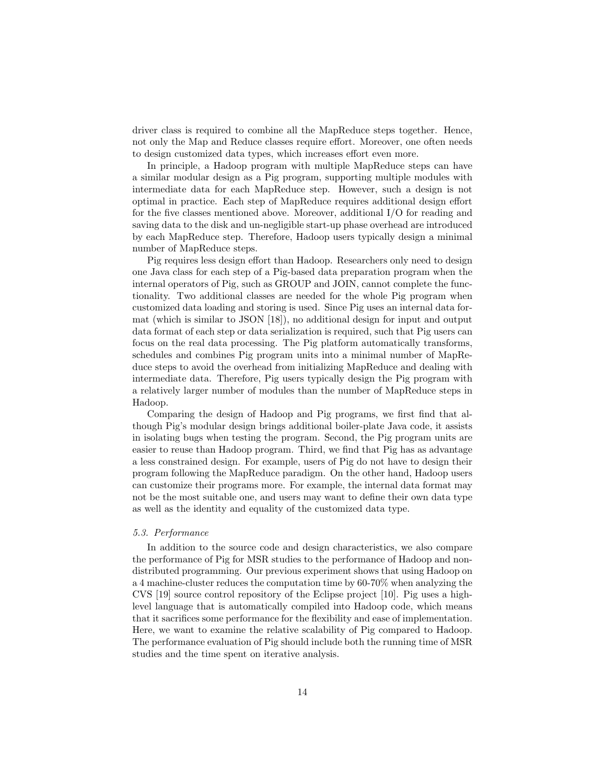driver class is required to combine all the MapReduce steps together. Hence, not only the Map and Reduce classes require effort. Moreover, one often needs to design customized data types, which increases effort even more.

In principle, a Hadoop program with multiple MapReduce steps can have a similar modular design as a Pig program, supporting multiple modules with intermediate data for each MapReduce step. However, such a design is not optimal in practice. Each step of MapReduce requires additional design effort for the five classes mentioned above. Moreover, additional I/O for reading and saving data to the disk and un-negligible start-up phase overhead are introduced by each MapReduce step. Therefore, Hadoop users typically design a minimal number of MapReduce steps.

Pig requires less design effort than Hadoop. Researchers only need to design one Java class for each step of a Pig-based data preparation program when the internal operators of Pig, such as GROUP and JOIN, cannot complete the functionality. Two additional classes are needed for the whole Pig program when customized data loading and storing is used. Since Pig uses an internal data format (which is similar to JSON [18]), no additional design for input and output data format of each step or data serialization is required, such that Pig users can focus on the real data processing. The Pig platform automatically transforms, schedules and combines Pig program units into a minimal number of MapReduce steps to avoid the overhead from initializing MapReduce and dealing with intermediate data. Therefore, Pig users typically design the Pig program with a relatively larger number of modules than the number of MapReduce steps in Hadoop.

Comparing the design of Hadoop and Pig programs, we first find that although Pig's modular design brings additional boiler-plate Java code, it assists in isolating bugs when testing the program. Second, the Pig program units are easier to reuse than Hadoop program. Third, we find that Pig has as advantage a less constrained design. For example, users of Pig do not have to design their program following the MapReduce paradigm. On the other hand, Hadoop users can customize their programs more. For example, the internal data format may not be the most suitable one, and users may want to define their own data type as well as the identity and equality of the customized data type.

## 5.3. Performance

In addition to the source code and design characteristics, we also compare the performance of Pig for MSR studies to the performance of Hadoop and nondistributed programming. Our previous experiment shows that using Hadoop on a 4 machine-cluster reduces the computation time by 60-70% when analyzing the CVS [19] source control repository of the Eclipse project [10]. Pig uses a highlevel language that is automatically compiled into Hadoop code, which means that it sacrifices some performance for the flexibility and ease of implementation. Here, we want to examine the relative scalability of Pig compared to Hadoop. The performance evaluation of Pig should include both the running time of MSR studies and the time spent on iterative analysis.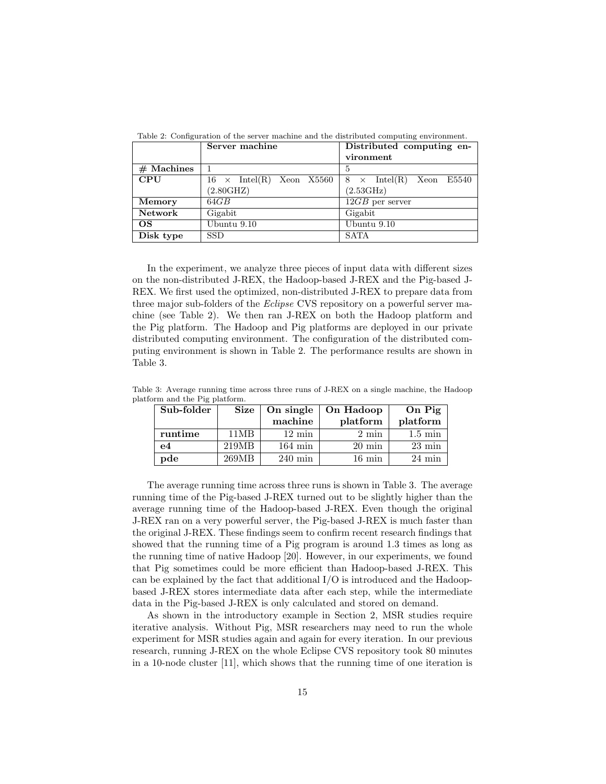|                | Server machine                  | Distributed computing en-         |  |  |  |  |
|----------------|---------------------------------|-----------------------------------|--|--|--|--|
|                |                                 | vironment                         |  |  |  |  |
| $#$ Machines   |                                 | 5                                 |  |  |  |  |
| <b>CPU</b>     | $16 \times$ Intel(R) Xeon X5560 | $8 \times$ Intel(R) Xeon<br>E5540 |  |  |  |  |
|                | $(2.80\text{GHz})$              | (2.53GHz)                         |  |  |  |  |
| Memory         | 64GB                            | $12GB$ per server                 |  |  |  |  |
| <b>Network</b> | Gigabit                         | Gigabit                           |  |  |  |  |
| <b>OS</b>      | Ubuntu 9.10                     | Ubuntu 9.10                       |  |  |  |  |
| Disk type      | SSD                             | <b>SATA</b>                       |  |  |  |  |

Table 2: Configuration of the server machine and the distributed computing environment.

In the experiment, we analyze three pieces of input data with different sizes on the non-distributed J-REX, the Hadoop-based J-REX and the Pig-based J-REX. We first used the optimized, non-distributed J-REX to prepare data from three major sub-folders of the Eclipse CVS repository on a powerful server machine (see Table 2). We then ran J-REX on both the Hadoop platform and the Pig platform. The Hadoop and Pig platforms are deployed in our private distributed computing environment. The configuration of the distributed computing environment is shown in Table 2. The performance results are shown in Table 3.

Table 3: Average running time across three runs of J-REX on a single machine, the Hadoop platform and the Pig platform.

| Sub-folder | <b>Size</b> | On single         | On Hadoop        | On Pig            |
|------------|-------------|-------------------|------------------|-------------------|
|            |             | machine           | platform         | platform          |
| runtime    | 11MB        | $12 \text{ min}$  | $2 \text{ min}$  | $1.5 \text{ min}$ |
| e4         | 219MB       | $164 \text{ min}$ | $20 \text{ min}$ | $23 \text{ min}$  |
| pde        | 269MB       | $240 \text{ min}$ | $16 \text{ min}$ | $24 \text{ min}$  |

The average running time across three runs is shown in Table 3. The average running time of the Pig-based J-REX turned out to be slightly higher than the average running time of the Hadoop-based J-REX. Even though the original J-REX ran on a very powerful server, the Pig-based J-REX is much faster than the original J-REX. These findings seem to confirm recent research findings that showed that the running time of a Pig program is around 1.3 times as long as the running time of native Hadoop [20]. However, in our experiments, we found that Pig sometimes could be more efficient than Hadoop-based J-REX. This can be explained by the fact that additional I/O is introduced and the Hadoopbased J-REX stores intermediate data after each step, while the intermediate data in the Pig-based J-REX is only calculated and stored on demand.

As shown in the introductory example in Section 2, MSR studies require iterative analysis. Without Pig, MSR researchers may need to run the whole experiment for MSR studies again and again for every iteration. In our previous research, running J-REX on the whole Eclipse CVS repository took 80 minutes in a 10-node cluster [11], which shows that the running time of one iteration is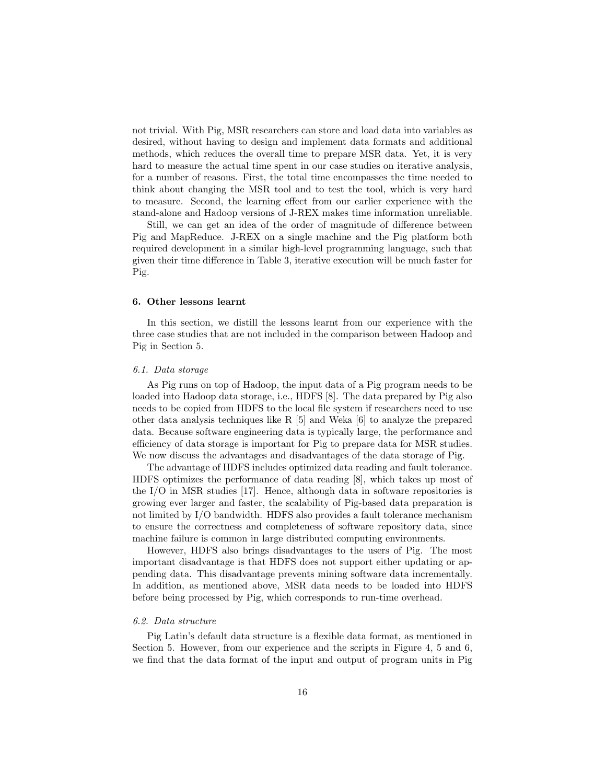not trivial. With Pig, MSR researchers can store and load data into variables as desired, without having to design and implement data formats and additional methods, which reduces the overall time to prepare MSR data. Yet, it is very hard to measure the actual time spent in our case studies on iterative analysis, for a number of reasons. First, the total time encompasses the time needed to think about changing the MSR tool and to test the tool, which is very hard to measure. Second, the learning effect from our earlier experience with the stand-alone and Hadoop versions of J-REX makes time information unreliable.

Still, we can get an idea of the order of magnitude of difference between Pig and MapReduce. J-REX on a single machine and the Pig platform both required development in a similar high-level programming language, such that given their time difference in Table 3, iterative execution will be much faster for Pig.

#### 6. Other lessons learnt

In this section, we distill the lessons learnt from our experience with the three case studies that are not included in the comparison between Hadoop and Pig in Section 5.

#### 6.1. Data storage

As Pig runs on top of Hadoop, the input data of a Pig program needs to be loaded into Hadoop data storage, i.e., HDFS [8]. The data prepared by Pig also needs to be copied from HDFS to the local file system if researchers need to use other data analysis techniques like R [5] and Weka [6] to analyze the prepared data. Because software engineering data is typically large, the performance and efficiency of data storage is important for Pig to prepare data for MSR studies. We now discuss the advantages and disadvantages of the data storage of Pig.

The advantage of HDFS includes optimized data reading and fault tolerance. HDFS optimizes the performance of data reading [8], which takes up most of the I/O in MSR studies [17]. Hence, although data in software repositories is growing ever larger and faster, the scalability of Pig-based data preparation is not limited by I/O bandwidth. HDFS also provides a fault tolerance mechanism to ensure the correctness and completeness of software repository data, since machine failure is common in large distributed computing environments.

However, HDFS also brings disadvantages to the users of Pig. The most important disadvantage is that HDFS does not support either updating or appending data. This disadvantage prevents mining software data incrementally. In addition, as mentioned above, MSR data needs to be loaded into HDFS before being processed by Pig, which corresponds to run-time overhead.

#### 6.2. Data structure

Pig Latin's default data structure is a flexible data format, as mentioned in Section 5. However, from our experience and the scripts in Figure 4, 5 and 6, we find that the data format of the input and output of program units in Pig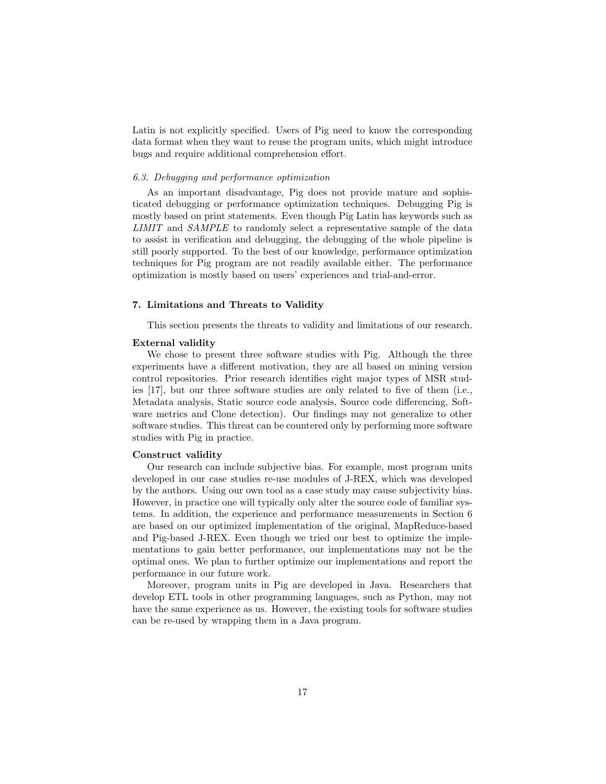Latin is not explicitly specified. Users of Pig need to know the corresponding data format when they want to reuse the program units, which might introduce bugs and require additional comprehension effort.

#### 6.3. Debugging and performance optimization

As an important disadvantage, Pig does not provide mature and sophisticated debugging or performance optimization techniques. Debugging Pig is mostly based on print statements. Even though Pig Latin has keywords such as LIMIT and SAMPLE to randomly select a representative sample of the data to assist in verification and debugging, the debugging of the whole pipeline is still poorly supported. To the best of our knowledge, performance optimization techniques for Pig program are not readily available either. The performance optimization is mostly based on users' experiences and trial-and-error.

## 7. Limitations and Threats to Validity

This section presents the threats to validity and limitations of our research.

## External validity

We chose to present three software studies with Pig. Although the three experiments have a different motivation, they are all based on mining version control repositories. Prior research identifies eight major types of MSR studies [17], but our three software studies are only related to five of them (i.e., Metadata analysis, Static source code analysis, Source code differencing, Software metrics and Clone detection). Our findings may not generalize to other software studies. This threat can be countered only by performing more software studies with Pig in practice.

## Construct validity

Our research can include subjective bias. For example, most program units developed in our case studies re-use modules of J-REX, which was developed by the authors. Using our own tool as a case study may cause subjectivity bias. However, in practice one will typically only alter the source code of familiar systems. In addition, the experience and performance measurements in Section 6 are based on our optimized implementation of the original, MapReduce-based and Pig-based J-REX. Even though we tried our best to optimize the implementations to gain better performance, our implementations may not be the optimal ones. We plan to further optimize our implementations and report the performance in our future work.

Moreover, program units in Pig are developed in Java. Researchers that develop ETL tools in other programming languages, such as Python, may not have the same experience as us. However, the existing tools for software studies can be re-used by wrapping them in a Java program.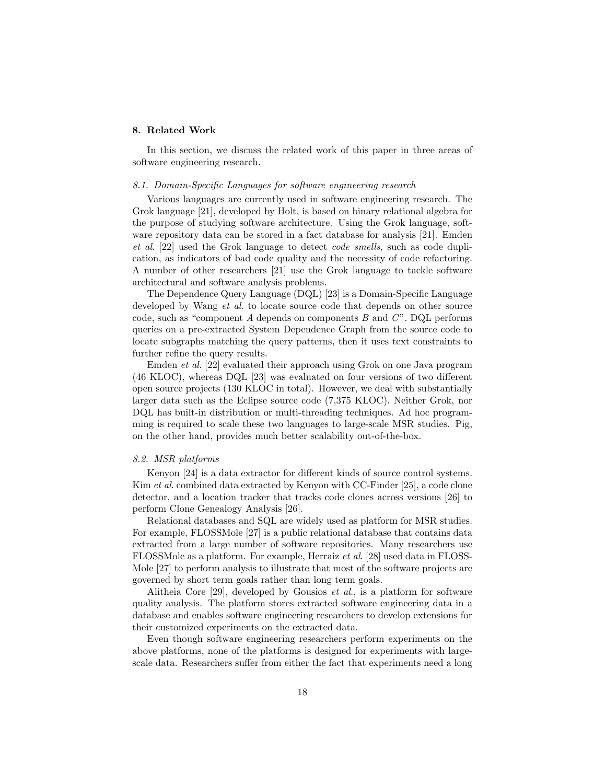## 8. Related Work

In this section, we discuss the related work of this paper in three areas of software engineering research.

#### 8.1. Domain-Specific Languages for software engineering research

Various languages are currently used in software engineering research. The Grok language [21], developed by Holt, is based on binary relational algebra for the purpose of studying software architecture. Using the Grok language, software repository data can be stored in a fact database for analysis [21]. Emden et al. [22] used the Grok language to detect code smells, such as code duplication, as indicators of bad code quality and the necessity of code refactoring. A number of other researchers [21] use the Grok language to tackle software architectural and software analysis problems.

The Dependence Query Language (DQL) [23] is a Domain-Specific Language developed by Wang *et al.* to locate source code that depends on other source code, such as "component A depends on components  $B$  and  $C$ ". DQL performs queries on a pre-extracted System Dependence Graph from the source code to locate subgraphs matching the query patterns, then it uses text constraints to further refine the query results.

Emden et al. [22] evaluated their approach using Grok on one Java program (46 KLOC), whereas DQL [23] was evaluated on four versions of two different open source projects (130 KLOC in total). However, we deal with substantially larger data such as the Eclipse source code (7,375 KLOC). Neither Grok, nor DQL has built-in distribution or multi-threading techniques. Ad hoc programming is required to scale these two languages to large-scale MSR studies. Pig, on the other hand, provides much better scalability out-of-the-box.

#### 8.2. MSR platforms

Kenyon [24] is a data extractor for different kinds of source control systems. Kim et al. combined data extracted by Kenyon with CC-Finder [25], a code clone detector, and a location tracker that tracks code clones across versions [26] to perform Clone Genealogy Analysis [26].

Relational databases and SQL are widely used as platform for MSR studies. For example, FLOSSMole [27] is a public relational database that contains data extracted from a large number of software repositories. Many researchers use FLOSSMole as a platform. For example, Herraiz et al. [28] used data in FLOSS-Mole [27] to perform analysis to illustrate that most of the software projects are governed by short term goals rather than long term goals.

Alitheia Core  $[29]$ , developed by Gousios *et al.*, is a platform for software quality analysis. The platform stores extracted software engineering data in a database and enables software engineering researchers to develop extensions for their customized experiments on the extracted data.

Even though software engineering researchers perform experiments on the above platforms, none of the platforms is designed for experiments with largescale data. Researchers suffer from either the fact that experiments need a long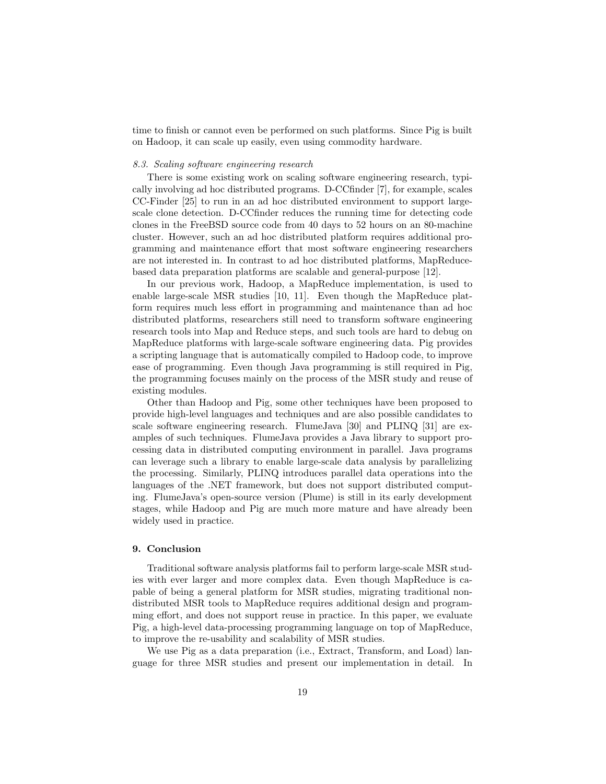time to finish or cannot even be performed on such platforms. Since Pig is built on Hadoop, it can scale up easily, even using commodity hardware.

## 8.3. Scaling software engineering research

There is some existing work on scaling software engineering research, typically involving ad hoc distributed programs. D-CCfinder [7], for example, scales CC-Finder [25] to run in an ad hoc distributed environment to support largescale clone detection. D-CCfinder reduces the running time for detecting code clones in the FreeBSD source code from 40 days to 52 hours on an 80-machine cluster. However, such an ad hoc distributed platform requires additional programming and maintenance effort that most software engineering researchers are not interested in. In contrast to ad hoc distributed platforms, MapReducebased data preparation platforms are scalable and general-purpose [12].

In our previous work, Hadoop, a MapReduce implementation, is used to enable large-scale MSR studies [10, 11]. Even though the MapReduce platform requires much less effort in programming and maintenance than ad hoc distributed platforms, researchers still need to transform software engineering research tools into Map and Reduce steps, and such tools are hard to debug on MapReduce platforms with large-scale software engineering data. Pig provides a scripting language that is automatically compiled to Hadoop code, to improve ease of programming. Even though Java programming is still required in Pig, the programming focuses mainly on the process of the MSR study and reuse of existing modules.

Other than Hadoop and Pig, some other techniques have been proposed to provide high-level languages and techniques and are also possible candidates to scale software engineering research. FlumeJava [30] and PLINQ [31] are examples of such techniques. FlumeJava provides a Java library to support processing data in distributed computing environment in parallel. Java programs can leverage such a library to enable large-scale data analysis by parallelizing the processing. Similarly, PLINQ introduces parallel data operations into the languages of the .NET framework, but does not support distributed computing. FlumeJava's open-source version (Plume) is still in its early development stages, while Hadoop and Pig are much more mature and have already been widely used in practice.

#### 9. Conclusion

Traditional software analysis platforms fail to perform large-scale MSR studies with ever larger and more complex data. Even though MapReduce is capable of being a general platform for MSR studies, migrating traditional nondistributed MSR tools to MapReduce requires additional design and programming effort, and does not support reuse in practice. In this paper, we evaluate Pig, a high-level data-processing programming language on top of MapReduce, to improve the re-usability and scalability of MSR studies.

We use Pig as a data preparation (i.e., Extract, Transform, and Load) language for three MSR studies and present our implementation in detail. In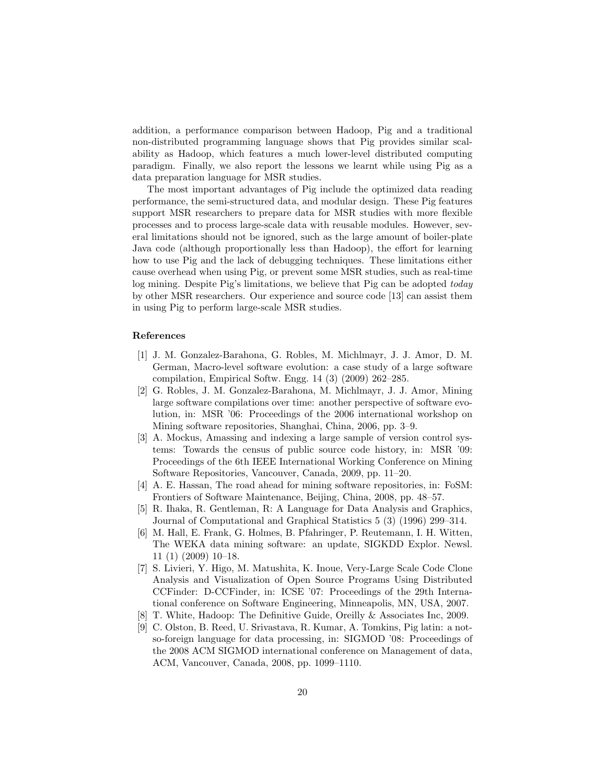addition, a performance comparison between Hadoop, Pig and a traditional non-distributed programming language shows that Pig provides similar scalability as Hadoop, which features a much lower-level distributed computing paradigm. Finally, we also report the lessons we learnt while using Pig as a data preparation language for MSR studies.

The most important advantages of Pig include the optimized data reading performance, the semi-structured data, and modular design. These Pig features support MSR researchers to prepare data for MSR studies with more flexible processes and to process large-scale data with reusable modules. However, several limitations should not be ignored, such as the large amount of boiler-plate Java code (although proportionally less than Hadoop), the effort for learning how to use Pig and the lack of debugging techniques. These limitations either cause overhead when using Pig, or prevent some MSR studies, such as real-time log mining. Despite Pig's limitations, we believe that Pig can be adopted today by other MSR researchers. Our experience and source code [13] can assist them in using Pig to perform large-scale MSR studies.

## References

- [1] J. M. Gonzalez-Barahona, G. Robles, M. Michlmayr, J. J. Amor, D. M. German, Macro-level software evolution: a case study of a large software compilation, Empirical Softw. Engg. 14 (3) (2009) 262–285.
- [2] G. Robles, J. M. Gonzalez-Barahona, M. Michlmayr, J. J. Amor, Mining large software compilations over time: another perspective of software evolution, in: MSR '06: Proceedings of the 2006 international workshop on Mining software repositories, Shanghai, China, 2006, pp. 3–9.
- [3] A. Mockus, Amassing and indexing a large sample of version control systems: Towards the census of public source code history, in: MSR '09: Proceedings of the 6th IEEE International Working Conference on Mining Software Repositories, Vancouver, Canada, 2009, pp. 11–20.
- [4] A. E. Hassan, The road ahead for mining software repositories, in: FoSM: Frontiers of Software Maintenance, Beijing, China, 2008, pp. 48–57.
- [5] R. Ihaka, R. Gentleman, R: A Language for Data Analysis and Graphics, Journal of Computational and Graphical Statistics 5 (3) (1996) 299–314.
- [6] M. Hall, E. Frank, G. Holmes, B. Pfahringer, P. Reutemann, I. H. Witten, The WEKA data mining software: an update, SIGKDD Explor. Newsl. 11 (1) (2009) 10–18.
- [7] S. Livieri, Y. Higo, M. Matushita, K. Inoue, Very-Large Scale Code Clone Analysis and Visualization of Open Source Programs Using Distributed CCFinder: D-CCFinder, in: ICSE '07: Proceedings of the 29th International conference on Software Engineering, Minneapolis, MN, USA, 2007.
- [8] T. White, Hadoop: The Definitive Guide, Oreilly & Associates Inc, 2009.
- [9] C. Olston, B. Reed, U. Srivastava, R. Kumar, A. Tomkins, Pig latin: a notso-foreign language for data processing, in: SIGMOD '08: Proceedings of the 2008 ACM SIGMOD international conference on Management of data, ACM, Vancouver, Canada, 2008, pp. 1099–1110.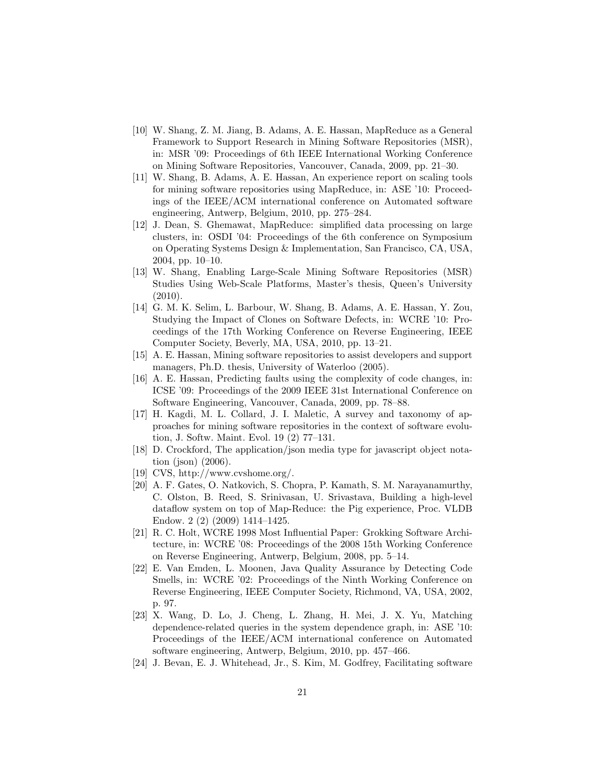- [10] W. Shang, Z. M. Jiang, B. Adams, A. E. Hassan, MapReduce as a General Framework to Support Research in Mining Software Repositories (MSR), in: MSR '09: Proceedings of 6th IEEE International Working Conference on Mining Software Repositories, Vancouver, Canada, 2009, pp. 21–30.
- [11] W. Shang, B. Adams, A. E. Hassan, An experience report on scaling tools for mining software repositories using MapReduce, in: ASE '10: Proceedings of the IEEE/ACM international conference on Automated software engineering, Antwerp, Belgium, 2010, pp. 275–284.
- [12] J. Dean, S. Ghemawat, MapReduce: simplified data processing on large clusters, in: OSDI '04: Proceedings of the 6th conference on Symposium on Operating Systems Design & Implementation, San Francisco, CA, USA, 2004, pp. 10–10.
- [13] W. Shang, Enabling Large-Scale Mining Software Repositories (MSR) Studies Using Web-Scale Platforms, Master's thesis, Queen's University (2010).
- [14] G. M. K. Selim, L. Barbour, W. Shang, B. Adams, A. E. Hassan, Y. Zou, Studying the Impact of Clones on Software Defects, in: WCRE '10: Proceedings of the 17th Working Conference on Reverse Engineering, IEEE Computer Society, Beverly, MA, USA, 2010, pp. 13–21.
- [15] A. E. Hassan, Mining software repositories to assist developers and support managers, Ph.D. thesis, University of Waterloo (2005).
- [16] A. E. Hassan, Predicting faults using the complexity of code changes, in: ICSE '09: Proceedings of the 2009 IEEE 31st International Conference on Software Engineering, Vancouver, Canada, 2009, pp. 78–88.
- [17] H. Kagdi, M. L. Collard, J. I. Maletic, A survey and taxonomy of approaches for mining software repositories in the context of software evolution, J. Softw. Maint. Evol. 19 (2) 77–131.
- [18] D. Crockford, The application/json media type for javascript object notation (json) (2006).
- [19] CVS, http://www.cvshome.org/.
- [20] A. F. Gates, O. Natkovich, S. Chopra, P. Kamath, S. M. Narayanamurthy, C. Olston, B. Reed, S. Srinivasan, U. Srivastava, Building a high-level dataflow system on top of Map-Reduce: the Pig experience, Proc. VLDB Endow. 2 (2) (2009) 1414–1425.
- [21] R. C. Holt, WCRE 1998 Most Influential Paper: Grokking Software Architecture, in: WCRE '08: Proceedings of the 2008 15th Working Conference on Reverse Engineering, Antwerp, Belgium, 2008, pp. 5–14.
- [22] E. Van Emden, L. Moonen, Java Quality Assurance by Detecting Code Smells, in: WCRE '02: Proceedings of the Ninth Working Conference on Reverse Engineering, IEEE Computer Society, Richmond, VA, USA, 2002, p. 97.
- [23] X. Wang, D. Lo, J. Cheng, L. Zhang, H. Mei, J. X. Yu, Matching dependence-related queries in the system dependence graph, in: ASE '10: Proceedings of the IEEE/ACM international conference on Automated software engineering, Antwerp, Belgium, 2010, pp. 457–466.
- [24] J. Bevan, E. J. Whitehead, Jr., S. Kim, M. Godfrey, Facilitating software